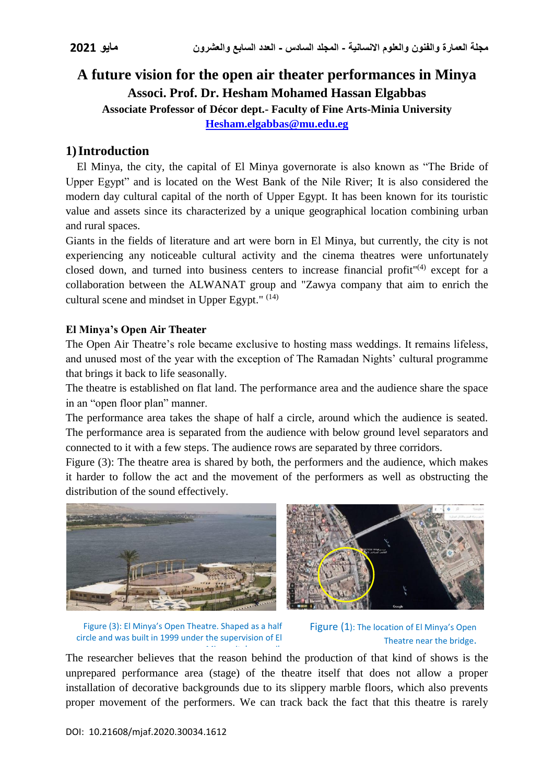# **A future vision for the open air theater performances in Minya Associ. Prof. Dr. Hesham Mohamed Hassan Elgabbas Associate Professor of Décor dept.- Faculty of Fine Arts-Minia University [Hesham.elgabbas@mu.edu.eg](mailto:Hesham.elgabbas@mu.edu.eg)**

# **1)Introduction**

 El Minya, the city, the capital of El Minya governorate is also known as "The Bride of Upper Egypt" and is located on the West Bank of the Nile River; It is also considered the modern day cultural capital of the north of Upper Egypt. It has been known for its touristic value and assets since its characterized by a unique geographical location combining urban and rural spaces.

Giants in the fields of literature and art were born in El Minya, but currently, the city is not experiencing any noticeable cultural activity and the cinema theatres were unfortunately closed down, and turned into business centers to increase financial profit"<sup>(4)</sup> except for a collaboration between the ALWANAT group and "Zawya company that aim to enrich the cultural scene and mindset in Upper Egypt." (14)

# **El Minya's Open Air Theater**

The Open Air Theatre's role became exclusive to hosting mass weddings. It remains lifeless, and unused most of the year with the exception of The Ramadan Nights' cultural programme that brings it back to life seasonally.

The theatre is established on flat land. The performance area and the audience share the space in an "open floor plan" manner.

The performance area takes the shape of half a circle, around which the audience is seated. The performance area is separated from the audience with below ground level separators and connected to it with a few steps. The audience rows are separated by three corridors.

Figure (3): The theatre area is shared by both, the performers and the audience, which makes it harder to follow the act and the movement of the performers as well as obstructing the distribution of the sound effectively.





Figure (3): El Minya's Open Theatre. Shaped as a half circle and was built in 1999 under the supervision of El

Figure (1): The location of El Minya's Open Theatre near the bridge.

The researcher believes that the reason behind the production of that kind of shows is the unprepared performance area (stage) of the theatre itself that does not allow a proper installation of decorative backgrounds due to its slippery marble floors, which also prevents proper movement of the performers. We can track back the fact that this theatre is rarely Minya city's council.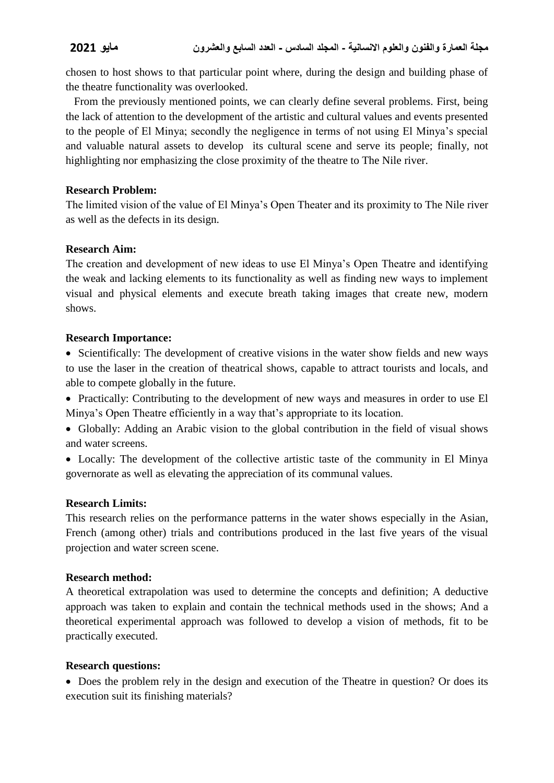chosen to host shows to that particular point where, during the design and building phase of the theatre functionality was overlooked.

 From the previously mentioned points, we can clearly define several problems. First, being the lack of attention to the development of the artistic and cultural values and events presented to the people of El Minya; secondly the negligence in terms of not using El Minya's special and valuable natural assets to develop its cultural scene and serve its people; finally, not highlighting nor emphasizing the close proximity of the theatre to The Nile river.

## **Research Problem:**

The limited vision of the value of El Minya's Open Theater and its proximity to The Nile river as well as the defects in its design.

# **Research Aim:**

The creation and development of new ideas to use El Minya's Open Theatre and identifying the weak and lacking elements to its functionality as well as finding new ways to implement visual and physical elements and execute breath taking images that create new, modern shows.

# **Research Importance:**

- Scientifically: The development of creative visions in the water show fields and new ways to use the laser in the creation of theatrical shows, capable to attract tourists and locals, and able to compete globally in the future.
- Practically: Contributing to the development of new ways and measures in order to use El Minya's Open Theatre efficiently in a way that's appropriate to its location.
- Globally: Adding an Arabic vision to the global contribution in the field of visual shows and water screens.
- Locally: The development of the collective artistic taste of the community in El Minya governorate as well as elevating the appreciation of its communal values.

# **Research Limits:**

This research relies on the performance patterns in the water shows especially in the Asian, French (among other) trials and contributions produced in the last five years of the visual projection and water screen scene.

# **Research method:**

A theoretical extrapolation was used to determine the concepts and definition; A deductive approach was taken to explain and contain the technical methods used in the shows; And a theoretical experimental approach was followed to develop a vision of methods, fit to be practically executed.

### **Research questions:**

• Does the problem rely in the design and execution of the Theatre in question? Or does its execution suit its finishing materials?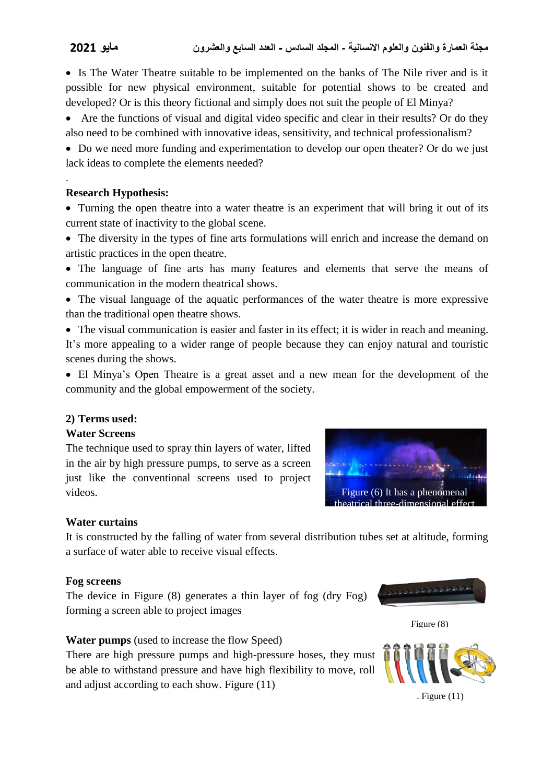.

• Is The Water Theatre suitable to be implemented on the banks of The Nile river and is it possible for new physical environment, suitable for potential shows to be created and developed? Or is this theory fictional and simply does not suit the people of El Minya?

• Are the functions of visual and digital video specific and clear in their results? Or do they also need to be combined with innovative ideas, sensitivity, and technical professionalism?

• Do we need more funding and experimentation to develop our open theater? Or do we just lack ideas to complete the elements needed?

# **Research Hypothesis:**

• Turning the open theatre into a water theatre is an experiment that will bring it out of its current state of inactivity to the global scene.

 The diversity in the types of fine arts formulations will enrich and increase the demand on artistic practices in the open theatre.

 The language of fine arts has many features and elements that serve the means of communication in the modern theatrical shows.

• The visual language of the aquatic performances of the water theatre is more expressive than the traditional open theatre shows.

 The visual communication is easier and faster in its effect; it is wider in reach and meaning. It's more appealing to a wider range of people because they can enjoy natural and touristic scenes during the shows.

 El Minya's Open Theatre is a great asset and a new mean for the development of the community and the global empowerment of the society.

### **2) Terms used:**

### **Water Screens**

The technique used to spray thin layers of water, lifted in the air by high pressure pumps, to serve as a screen just like the conventional screens used to project videos.



### **Water curtains**

It is constructed by the falling of water from several distribution tubes set at altitude, forming a surface of water able to receive visual effects.

### **Fog screens**

The device in Figure (8) generates a thin layer of fog (dry Fog) forming a screen able to project images



Figure (8)

# **Water pumps** (used to increase the flow Speed)

There are high pressure pumps and high-pressure hoses, they must be able to withstand pressure and have high flexibility to move, roll and adjust according to each show. Figure (11)



. Figure (11)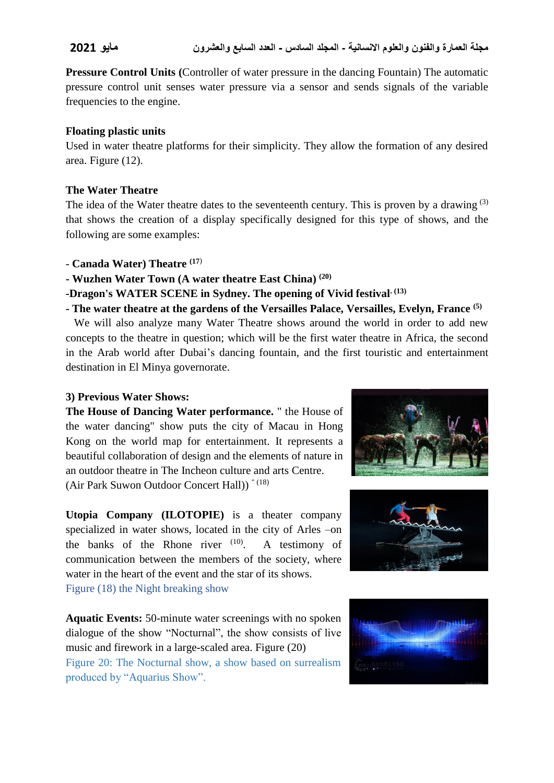**Pressure Control Units (**Controller of water pressure in the dancing Fountain) The automatic pressure control unit senses water pressure via a sensor and sends signals of the variable frequencies to the engine.

# **Floating plastic units**

Used in water theatre platforms for their simplicity. They allow the formation of any desired area. Figure (12).

# **The Water Theatre**

The idea of the Water theatre dates to the seventeenth century. This is proven by a drawing  $(3)$ that shows the creation of a display specifically designed for this type of shows, and the following are some examples:

- **Canada Water) Theatre (17**)
- **- Wuzhen Water Town (A water theatre East China) (20)**
- **-Dragon's WATER SCENE in Sydney. The opening of Vivid festival. (13)**
- **- The water theatre at the gardens of the Versailles Palace, Versailles, Evelyn, France (5)**

 We will also analyze many Water Theatre shows around the world in order to add new concepts to the theatre in question; which will be the first water theatre in Africa, the second in the Arab world after Dubai's dancing fountain, and the first touristic and entertainment destination in El Minya governorate.

# **3) Previous Water Shows:**

**The House of Dancing Water performance.** " the House of the water dancing" show puts the city of Macau in Hong Kong on the world map for entertainment. It represents a beautiful collaboration of design and the elements of nature in an outdoor theatre in The Incheon culture and arts Centre. (Air Park Suwon Outdoor Concert Hall)) " (18)

**Utopia Company (ILOTOPIE)** is a theater company specialized in water shows, located in the city of Arles –on the banks of the Rhone river  $(10)$ . . A testimony of communication between the members of the society, where water in the heart of the event and the star of its shows. Figure (18) the Night breaking show

**Aquatic Events:** 50-minute water screenings with no spoken dialogue of the show "Nocturnal", the show consists of live music and firework in a large-scaled area. Figure (20) Figure 20: The Nocturnal show, a show based on surrealism produced by "Aquarius Show".





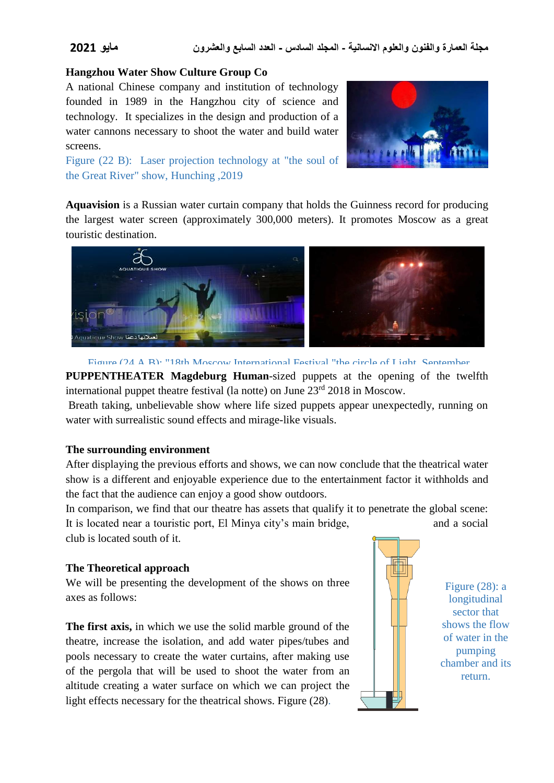# **Hangzhou Water Show Culture Group Co**

A national Chinese company and institution of technology founded in 1989 in the Hangzhou city of science and technology. It specializes in the design and production of a water cannons necessary to shoot the water and build water screens.

Figure (22 B): Laser projection technology at "the soul of the Great River" show, Hunching ,2019



**Aquavision** is a Russian water curtain company that holds the Guinness record for producing the largest water screen (approximately 300,000 meters). It promotes Moscow as a great touristic destination.





**PUPPENTHEATER Magdeburg Human**-sized puppets at the opening of the twelfth international puppet theatre festival (la notte) on June 23rd 2018 in Moscow.

Breath taking, unbelievable show where life sized puppets appear unexpectedly, running on water with surrealistic sound effects and mirage-like visuals.

# **The surrounding environment**

After displaying the previous efforts and shows, we can now conclude that the theatrical water show is a different and enjoyable experience due to the entertainment factor it withholds and the fact that the audience can enjoy a good show outdoors.

In comparison, we find that our theatre has assets that qualify it to penetrate the global scene: It is located near a touristic port, El Minya city's main bridge, and a social club is located south of it.

# **The Theoretical approach**

We will be presenting the development of the shows on three axes as follows:

**The first axis,** in which we use the solid marble ground of the theatre, increase the isolation, and add water pipes/tubes and pools necessary to create the water curtains, after making use of the pergola that will be used to shoot the water from an altitude creating a water surface on which we can project the light effects necessary for the theatrical shows. Figure (28).



Figure (28): a longitudinal sector that shows the flow of water in the pumping chamber and its return.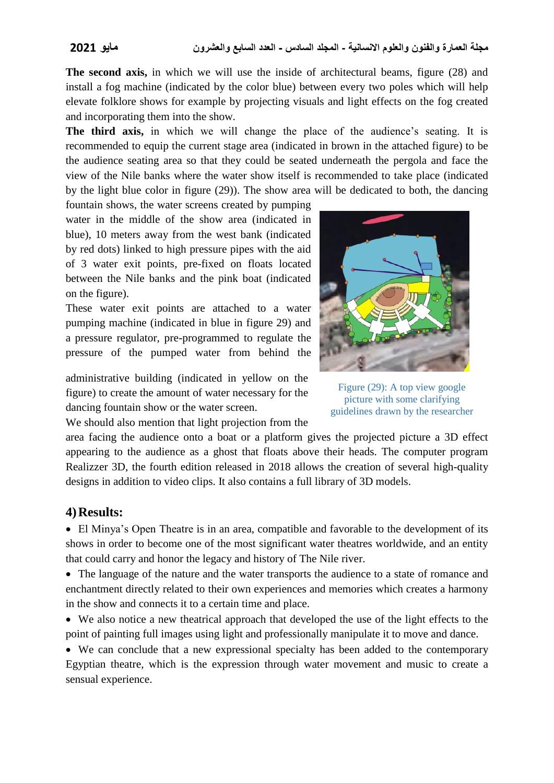The second axis, in which we will use the inside of architectural beams, figure (28) and install a fog machine (indicated by the color blue) between every two poles which will help elevate folklore shows for example by projecting visuals and light effects on the fog created and incorporating them into the show.

**The third axis,** in which we will change the place of the audience's seating. It is recommended to equip the current stage area (indicated in brown in the attached figure) to be the audience seating area so that they could be seated underneath the pergola and face the view of the Nile banks where the water show itself is recommended to take place (indicated by the light blue color in figure (29)). The show area will be dedicated to both, the dancing

fountain shows, the water screens created by pumping water in the middle of the show area (indicated in blue), 10 meters away from the west bank (indicated by red dots) linked to high pressure pipes with the aid of 3 water exit points, pre-fixed on floats located between the Nile banks and the pink boat (indicated on the figure).

These water exit points are attached to a water pumping machine (indicated in blue in figure 29) and a pressure regulator, pre-programmed to regulate the pressure of the pumped water from behind the

administrative building (indicated in yellow on the figure) to create the amount of water necessary for the dancing fountain show or the water screen.



Figure (29): A top view google picture with some clarifying guidelines drawn by the researcher

We should also mention that light projection from the

area facing the audience onto a boat or a platform gives the projected picture a 3D effect appearing to the audience as a ghost that floats above their heads. The computer program Realizzer 3D, the fourth edition released in 2018 allows the creation of several high-quality designs in addition to video clips. It also contains a full library of 3D models.

# **4)Results:**

 El Minya's Open Theatre is in an area, compatible and favorable to the development of its shows in order to become one of the most significant water theatres worldwide, and an entity that could carry and honor the legacy and history of The Nile river.

 The language of the nature and the water transports the audience to a state of romance and enchantment directly related to their own experiences and memories which creates a harmony in the show and connects it to a certain time and place.

 We also notice a new theatrical approach that developed the use of the light effects to the point of painting full images using light and professionally manipulate it to move and dance.

 We can conclude that a new expressional specialty has been added to the contemporary Egyptian theatre, which is the expression through water movement and music to create a sensual experience.